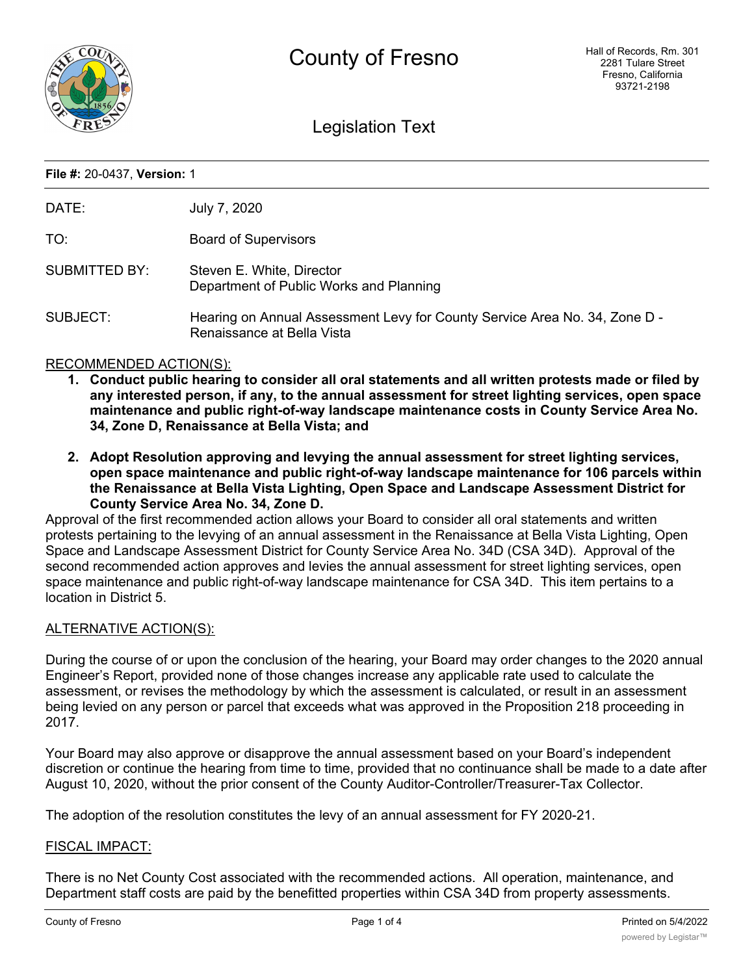

# Legislation Text

#### **File #:** 20-0437, **Version:** 1

| DATE:                | July 7, 2020                                                                                             |
|----------------------|----------------------------------------------------------------------------------------------------------|
| TO:                  | <b>Board of Supervisors</b>                                                                              |
| <b>SUBMITTED BY:</b> | Steven E. White, Director<br>Department of Public Works and Planning                                     |
| SUBJECT:             | Hearing on Annual Assessment Levy for County Service Area No. 34, Zone D -<br>Renaissance at Bella Vista |

## RECOMMENDED ACTION(S):

- **1. Conduct public hearing to consider all oral statements and all written protests made or filed by any interested person, if any, to the annual assessment for street lighting services, open space maintenance and public right-of-way landscape maintenance costs in County Service Area No. 34, Zone D, Renaissance at Bella Vista; and**
- **2. Adopt Resolution approving and levying the annual assessment for street lighting services, open space maintenance and public right-of-way landscape maintenance for 106 parcels within the Renaissance at Bella Vista Lighting, Open Space and Landscape Assessment District for County Service Area No. 34, Zone D.**

Approval of the first recommended action allows your Board to consider all oral statements and written protests pertaining to the levying of an annual assessment in the Renaissance at Bella Vista Lighting, Open Space and Landscape Assessment District for County Service Area No. 34D (CSA 34D). Approval of the second recommended action approves and levies the annual assessment for street lighting services, open space maintenance and public right-of-way landscape maintenance for CSA 34D. This item pertains to a location in District 5.

## ALTERNATIVE ACTION(S):

During the course of or upon the conclusion of the hearing, your Board may order changes to the 2020 annual Engineer's Report, provided none of those changes increase any applicable rate used to calculate the assessment, or revises the methodology by which the assessment is calculated, or result in an assessment being levied on any person or parcel that exceeds what was approved in the Proposition 218 proceeding in 2017.

Your Board may also approve or disapprove the annual assessment based on your Board's independent discretion or continue the hearing from time to time, provided that no continuance shall be made to a date after August 10, 2020, without the prior consent of the County Auditor-Controller/Treasurer-Tax Collector.

The adoption of the resolution constitutes the levy of an annual assessment for FY 2020-21.

## FISCAL IMPACT:

There is no Net County Cost associated with the recommended actions. All operation, maintenance, and Department staff costs are paid by the benefitted properties within CSA 34D from property assessments.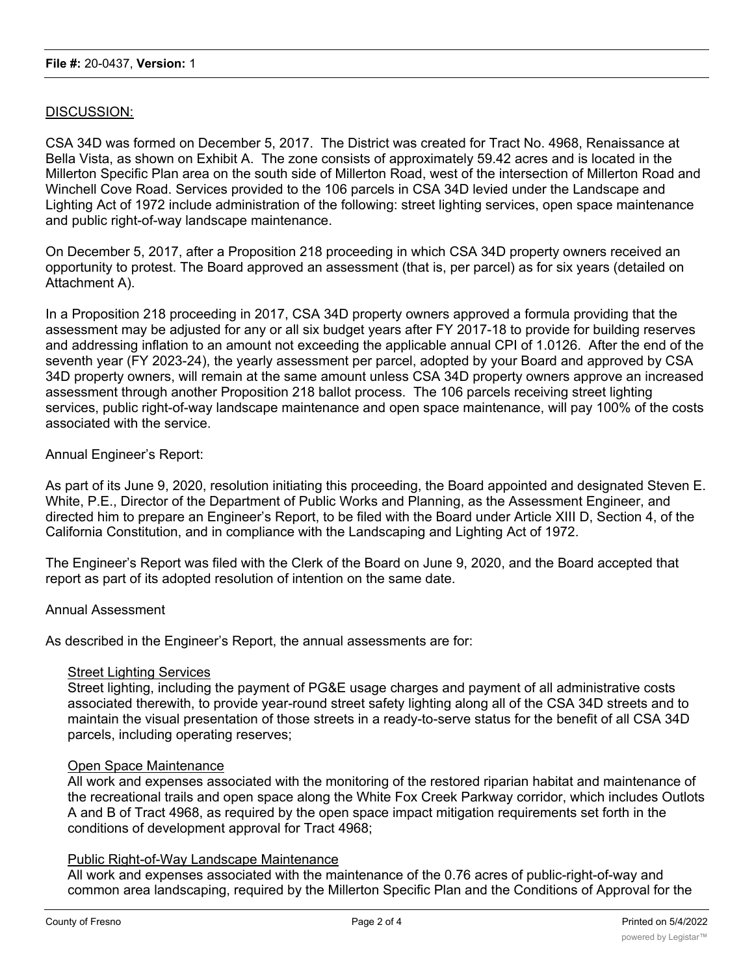## DISCUSSION:

CSA 34D was formed on December 5, 2017. The District was created for Tract No. 4968, Renaissance at Bella Vista, as shown on Exhibit A. The zone consists of approximately 59.42 acres and is located in the Millerton Specific Plan area on the south side of Millerton Road, west of the intersection of Millerton Road and Winchell Cove Road. Services provided to the 106 parcels in CSA 34D levied under the Landscape and Lighting Act of 1972 include administration of the following: street lighting services, open space maintenance and public right-of-way landscape maintenance.

On December 5, 2017, after a Proposition 218 proceeding in which CSA 34D property owners received an opportunity to protest. The Board approved an assessment (that is, per parcel) as for six years (detailed on Attachment A).

In a Proposition 218 proceeding in 2017, CSA 34D property owners approved a formula providing that the assessment may be adjusted for any or all six budget years after FY 2017-18 to provide for building reserves and addressing inflation to an amount not exceeding the applicable annual CPI of 1.0126. After the end of the seventh year (FY 2023-24), the yearly assessment per parcel, adopted by your Board and approved by CSA 34D property owners, will remain at the same amount unless CSA 34D property owners approve an increased assessment through another Proposition 218 ballot process. The 106 parcels receiving street lighting services, public right-of-way landscape maintenance and open space maintenance, will pay 100% of the costs associated with the service.

## Annual Engineer's Report:

As part of its June 9, 2020, resolution initiating this proceeding, the Board appointed and designated Steven E. White, P.E., Director of the Department of Public Works and Planning, as the Assessment Engineer, and directed him to prepare an Engineer's Report, to be filed with the Board under Article XIII D, Section 4, of the California Constitution, and in compliance with the Landscaping and Lighting Act of 1972.

The Engineer's Report was filed with the Clerk of the Board on June 9, 2020, and the Board accepted that report as part of its adopted resolution of intention on the same date.

## Annual Assessment

As described in the Engineer's Report, the annual assessments are for:

#### Street Lighting Services

Street lighting, including the payment of PG&E usage charges and payment of all administrative costs associated therewith, to provide year-round street safety lighting along all of the CSA 34D streets and to maintain the visual presentation of those streets in a ready-to-serve status for the benefit of all CSA 34D parcels, including operating reserves;

#### Open Space Maintenance

All work and expenses associated with the monitoring of the restored riparian habitat and maintenance of the recreational trails and open space along the White Fox Creek Parkway corridor, which includes Outlots A and B of Tract 4968, as required by the open space impact mitigation requirements set forth in the conditions of development approval for Tract 4968;

## Public Right-of-Way Landscape Maintenance

All work and expenses associated with the maintenance of the 0.76 acres of public-right-of-way and common area landscaping, required by the Millerton Specific Plan and the Conditions of Approval for the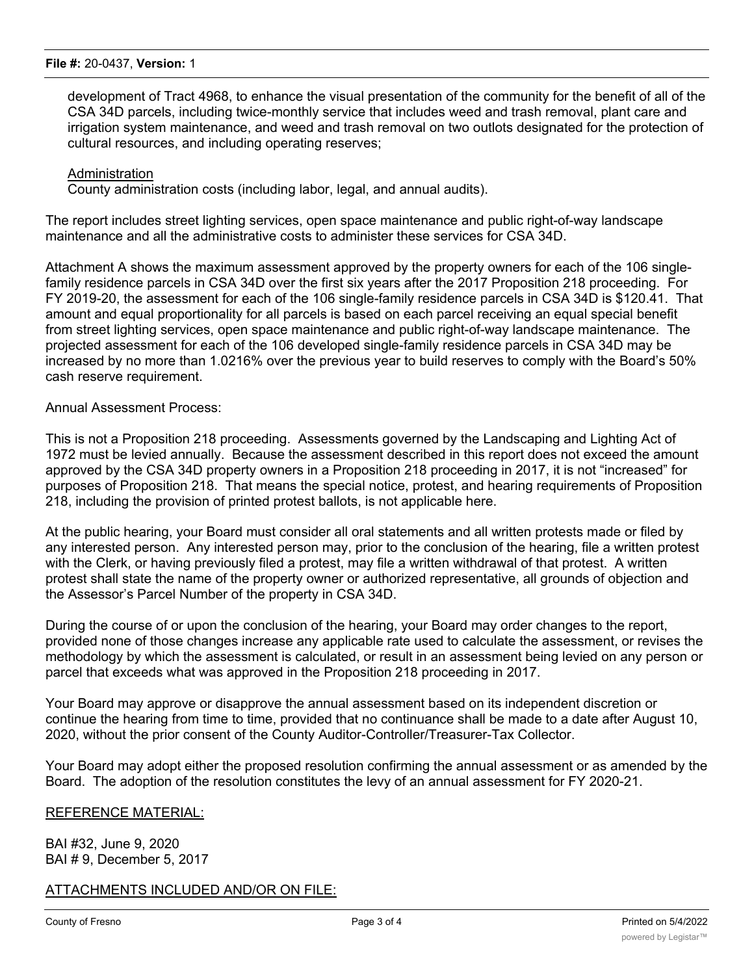#### **File #:** 20-0437, **Version:** 1

development of Tract 4968, to enhance the visual presentation of the community for the benefit of all of the CSA 34D parcels, including twice-monthly service that includes weed and trash removal, plant care and irrigation system maintenance, and weed and trash removal on two outlots designated for the protection of cultural resources, and including operating reserves;

#### Administration

County administration costs (including labor, legal, and annual audits).

The report includes street lighting services, open space maintenance and public right-of-way landscape maintenance and all the administrative costs to administer these services for CSA 34D.

Attachment A shows the maximum assessment approved by the property owners for each of the 106 singlefamily residence parcels in CSA 34D over the first six years after the 2017 Proposition 218 proceeding. For FY 2019-20, the assessment for each of the 106 single-family residence parcels in CSA 34D is \$120.41. That amount and equal proportionality for all parcels is based on each parcel receiving an equal special benefit from street lighting services, open space maintenance and public right-of-way landscape maintenance. The projected assessment for each of the 106 developed single-family residence parcels in CSA 34D may be increased by no more than 1.0216% over the previous year to build reserves to comply with the Board's 50% cash reserve requirement.

#### Annual Assessment Process:

This is not a Proposition 218 proceeding. Assessments governed by the Landscaping and Lighting Act of 1972 must be levied annually. Because the assessment described in this report does not exceed the amount approved by the CSA 34D property owners in a Proposition 218 proceeding in 2017, it is not "increased" for purposes of Proposition 218. That means the special notice, protest, and hearing requirements of Proposition 218, including the provision of printed protest ballots, is not applicable here.

At the public hearing, your Board must consider all oral statements and all written protests made or filed by any interested person. Any interested person may, prior to the conclusion of the hearing, file a written protest with the Clerk, or having previously filed a protest, may file a written withdrawal of that protest. A written protest shall state the name of the property owner or authorized representative, all grounds of objection and the Assessor's Parcel Number of the property in CSA 34D.

During the course of or upon the conclusion of the hearing, your Board may order changes to the report, provided none of those changes increase any applicable rate used to calculate the assessment, or revises the methodology by which the assessment is calculated, or result in an assessment being levied on any person or parcel that exceeds what was approved in the Proposition 218 proceeding in 2017.

Your Board may approve or disapprove the annual assessment based on its independent discretion or continue the hearing from time to time, provided that no continuance shall be made to a date after August 10, 2020, without the prior consent of the County Auditor-Controller/Treasurer-Tax Collector.

Your Board may adopt either the proposed resolution confirming the annual assessment or as amended by the Board. The adoption of the resolution constitutes the levy of an annual assessment for FY 2020-21.

## REFERENCE MATERIAL:

BAI #32, June 9, 2020 BAI # 9, December 5, 2017

# ATTACHMENTS INCLUDED AND/OR ON FILE: